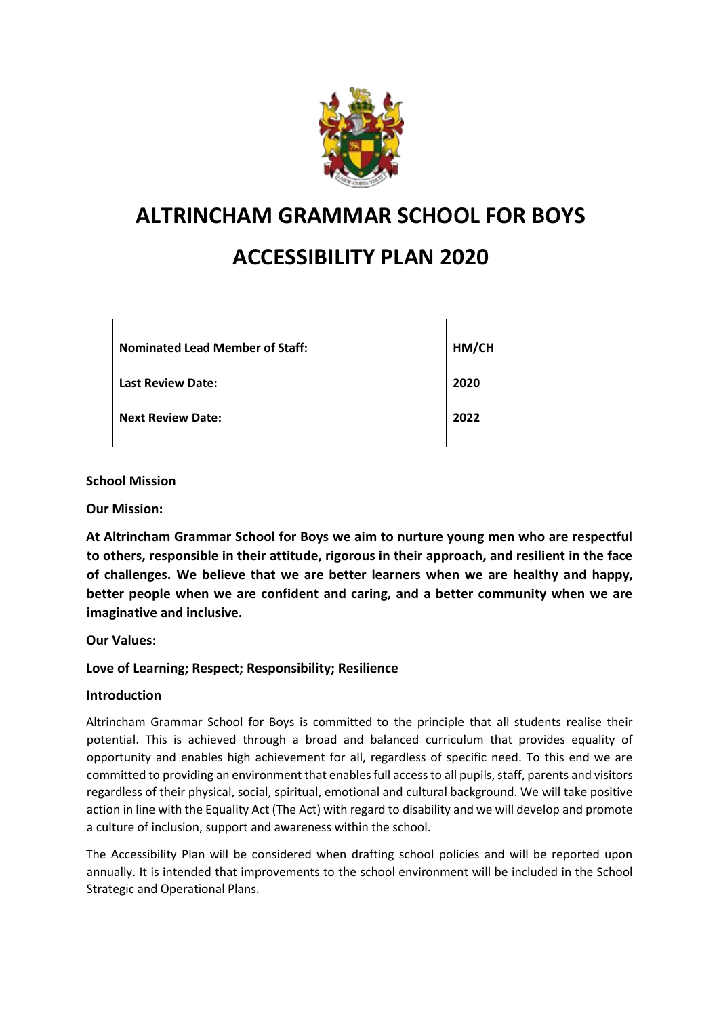

# **ALTRINCHAM GRAMMAR SCHOOL FOR BOYS**

# **ACCESSIBILITY PLAN 2020**

| <b>Nominated Lead Member of Staff:</b> | HM/CH |
|----------------------------------------|-------|
| <b>Last Review Date:</b>               | 2020  |
| <b>Next Review Date:</b>               | 2022  |

**School Mission** 

**Our Mission:** 

**At Altrincham Grammar School for Boys we aim to nurture young men who are respectful to others, responsible in their attitude, rigorous in their approach, and resilient in the face of challenges. We believe that we are better learners when we are healthy and happy, better people when we are confident and caring, and a better community when we are imaginative and inclusive.** 

**Our Values:** 

**Love of Learning; Respect; Responsibility; Resilience** 

### **Introduction**

Altrincham Grammar School for Boys is committed to the principle that all students realise their potential. This is achieved through a broad and balanced curriculum that provides equality of opportunity and enables high achievement for all, regardless of specific need. To this end we are committed to providing an environment that enables full access to all pupils, staff, parents and visitors regardless of their physical, social, spiritual, emotional and cultural background. We will take positive action in line with the Equality Act (The Act) with regard to disability and we will develop and promote a culture of inclusion, support and awareness within the school.

The Accessibility Plan will be considered when drafting school policies and will be reported upon annually. It is intended that improvements to the school environment will be included in the School Strategic and Operational Plans.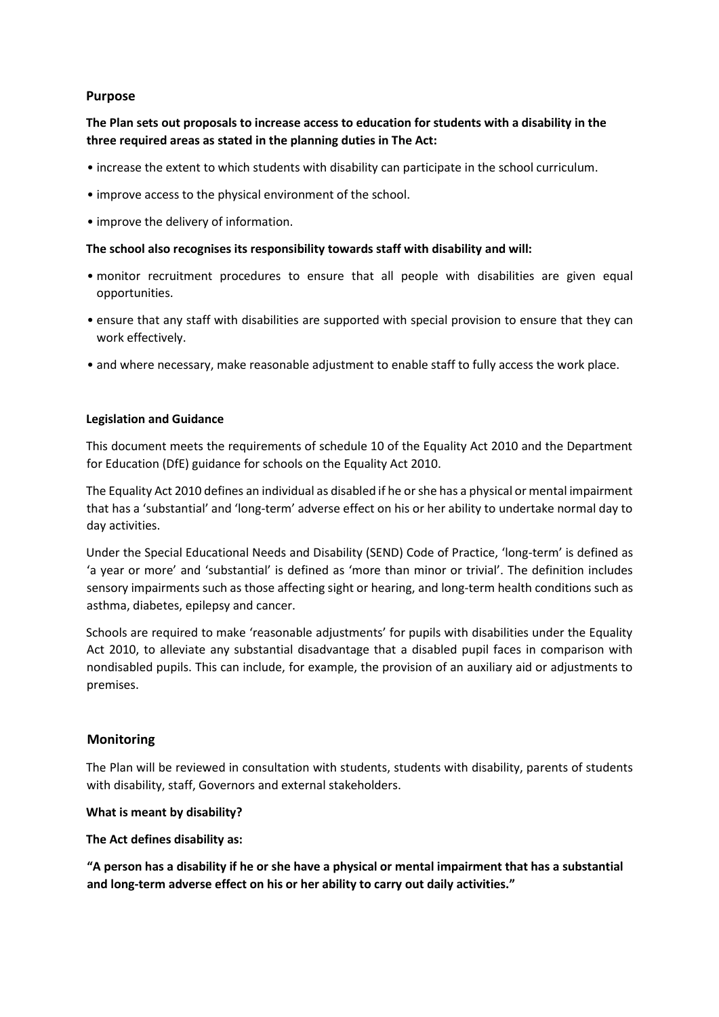## **Purpose**

# **The Plan sets out proposals to increase access to education for students with a disability in the three required areas as stated in the planning duties in The Act:**

- increase the extent to which students with disability can participate in the school curriculum.
- improve access to the physical environment of the school.
- improve the delivery of information.

### **The school also recognises its responsibility towards staff with disability and will:**

- monitor recruitment procedures to ensure that all people with disabilities are given equal opportunities.
- ensure that any staff with disabilities are supported with special provision to ensure that they can work effectively.
- and where necessary, make reasonable adjustment to enable staff to fully access the work place.

### **Legislation and Guidance**

This document meets the requirements of schedule 10 of the Equality Act 2010 and the Department for Education (DfE) guidance for schools on the Equality Act 2010.

The Equality Act 2010 defines an individual as disabled if he or she has a physical or mental impairment that has a 'substantial' and 'long-term' adverse effect on his or her ability to undertake normal day to day activities.

Under the Special Educational Needs and Disability (SEND) Code of Practice, 'long-term' is defined as 'a year or more' and 'substantial' is defined as 'more than minor or trivial'. The definition includes sensory impairments such as those affecting sight or hearing, and long-term health conditions such as asthma, diabetes, epilepsy and cancer.

Schools are required to make 'reasonable adjustments' for pupils with disabilities under the Equality Act 2010, to alleviate any substantial disadvantage that a disabled pupil faces in comparison with nondisabled pupils. This can include, for example, the provision of an auxiliary aid or adjustments to premises.

## **Monitoring**

The Plan will be reviewed in consultation with students, students with disability, parents of students with disability, staff, Governors and external stakeholders.

### **What is meant by disability?**

### **The Act defines disability as:**

**"A person has a disability if he or she have a physical or mental impairment that has a substantial and long-term adverse effect on his or her ability to carry out daily activities."**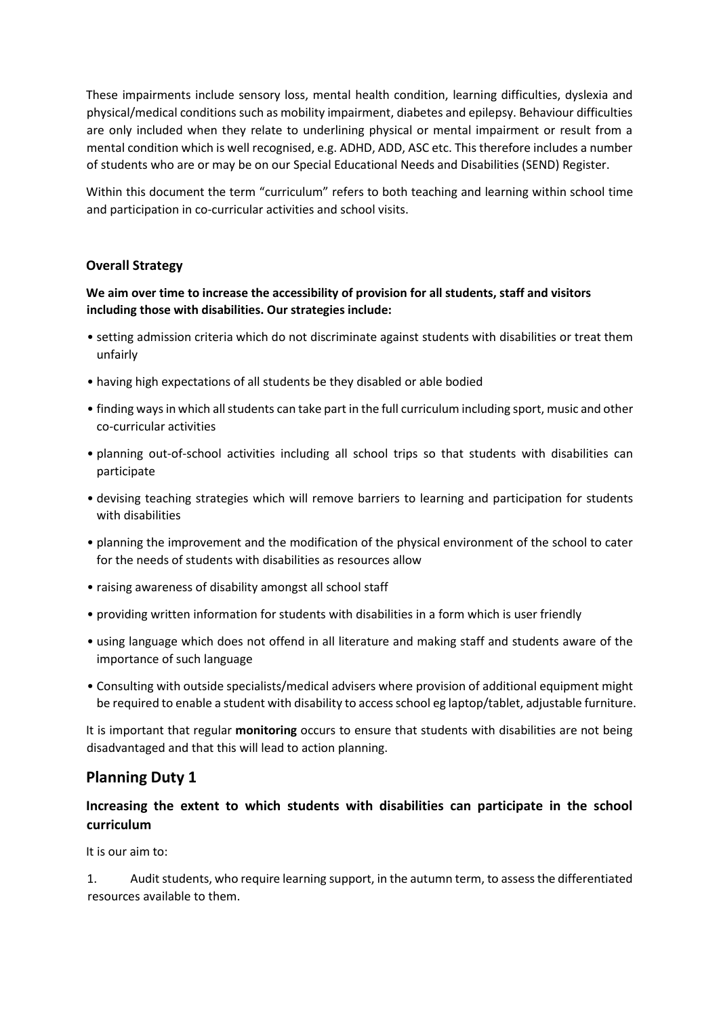These impairments include sensory loss, mental health condition, learning difficulties, dyslexia and physical/medical conditions such as mobility impairment, diabetes and epilepsy. Behaviour difficulties are only included when they relate to underlining physical or mental impairment or result from a mental condition which is well recognised, e.g. ADHD, ADD, ASC etc. This therefore includes a number of students who are or may be on our Special Educational Needs and Disabilities (SEND) Register.

Within this document the term "curriculum" refers to both teaching and learning within school time and participation in co-curricular activities and school visits.

# **Overall Strategy**

# **We aim over time to increase the accessibility of provision for all students, staff and visitors including those with disabilities. Our strategies include:**

- setting admission criteria which do not discriminate against students with disabilities or treat them unfairly
- having high expectations of all students be they disabled or able bodied
- finding ways in which all students can take part in the full curriculum including sport, music and other co-curricular activities
- planning out-of-school activities including all school trips so that students with disabilities can participate
- devising teaching strategies which will remove barriers to learning and participation for students with disabilities
- planning the improvement and the modification of the physical environment of the school to cater for the needs of students with disabilities as resources allow
- raising awareness of disability amongst all school staff
- providing written information for students with disabilities in a form which is user friendly
- using language which does not offend in all literature and making staff and students aware of the importance of such language
- Consulting with outside specialists/medical advisers where provision of additional equipment might be required to enable a student with disability to access school eg laptop/tablet, adjustable furniture.

It is important that regular **monitoring** occurs to ensure that students with disabilities are not being disadvantaged and that this will lead to action planning.

# **Planning Duty 1**

# **Increasing the extent to which students with disabilities can participate in the school curriculum**

It is our aim to:

1. Audit students, who require learning support, in the autumn term, to assess the differentiated resources available to them.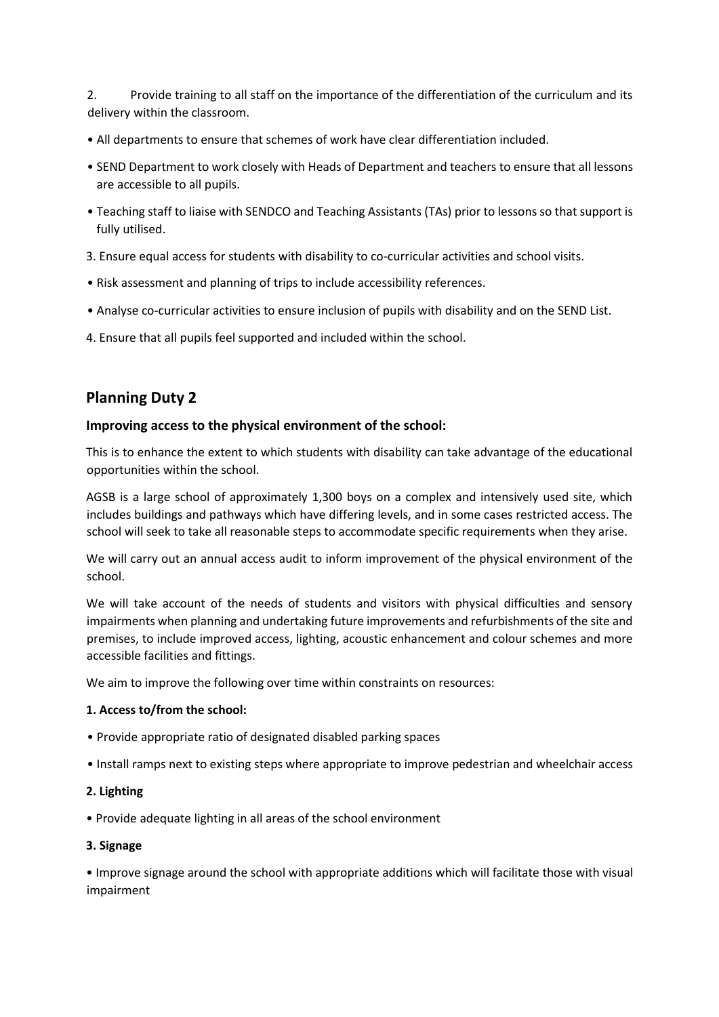2. Provide training to all staff on the importance of the differentiation of the curriculum and its delivery within the classroom.

- All departments to ensure that schemes of work have clear differentiation included.
- SEND Department to work closely with Heads of Department and teachers to ensure that all lessons are accessible to all pupils.
- Teaching staff to liaise with SENDCO and Teaching Assistants (TAs) prior to lessons so that support is fully utilised.
- 3. Ensure equal access for students with disability to co-curricular activities and school visits.
- Risk assessment and planning of trips to include accessibility references.
- Analyse co-curricular activities to ensure inclusion of pupils with disability and on the SEND List.
- 4. Ensure that all pupils feel supported and included within the school.

# **Planning Duty 2**

### **Improving access to the physical environment of the school:**

This is to enhance the extent to which students with disability can take advantage of the educational opportunities within the school.

AGSB is a large school of approximately 1,300 boys on a complex and intensively used site, which includes buildings and pathways which have differing levels, and in some cases restricted access. The school will seek to take all reasonable steps to accommodate specific requirements when they arise.

We will carry out an annual access audit to inform improvement of the physical environment of the school.

We will take account of the needs of students and visitors with physical difficulties and sensory impairments when planning and undertaking future improvements and refurbishments of the site and premises, to include improved access, lighting, acoustic enhancement and colour schemes and more accessible facilities and fittings.

We aim to improve the following over time within constraints on resources:

### **1. Access to/from the school:**

- Provide appropriate ratio of designated disabled parking spaces
- Install ramps next to existing steps where appropriate to improve pedestrian and wheelchair access
- **2. Lighting**
- Provide adequate lighting in all areas of the school environment

### **3. Signage**

• Improve signage around the school with appropriate additions which will facilitate those with visual impairment